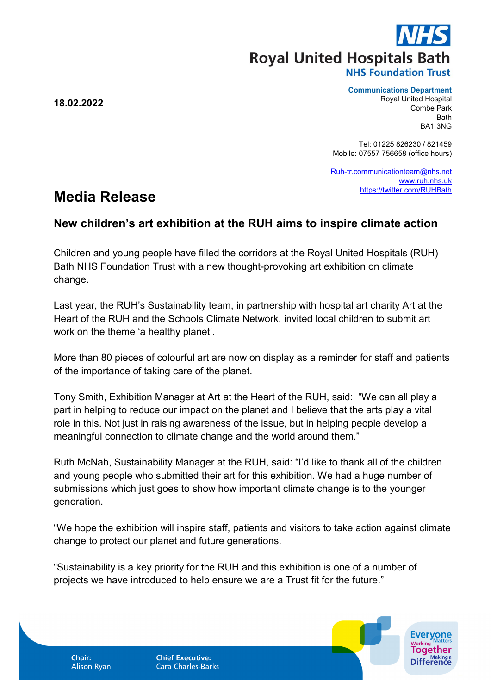**Royal United Hospitals Bath** 

**18.02.2022**

## **Communications Department**

Royal United Hospital Combe Park **Bath** BA1 3NG

Tel: 01225 826230 / 821459 Mobile: 07557 756658 (office hours)

[Ruh-tr.communicationteam@nhs.net](mailto:Ruh-tr.communicationteam@nhs.net) [www.ruh.nhs.uk](http://www.ruh.nhs.uk/) <https://twitter.com/RUHBath>

## **Media Release**

## **New children's art exhibition at the RUH aims to inspire climate action**

Children and young people have filled the corridors at the Royal United Hospitals (RUH) Bath NHS Foundation Trust with a new thought-provoking art exhibition on climate change.

Last year, the RUH's Sustainability team, in partnership with hospital art charity Art at the Heart of the RUH and the Schools Climate Network, invited local children to submit art work on the theme 'a healthy planet'.

More than 80 pieces of colourful art are now on display as a reminder for staff and patients of the importance of taking care of the planet.

Tony Smith, Exhibition Manager at Art at the Heart of the RUH, said: "We can all play a part in helping to reduce our impact on the planet and I believe that the arts play a vital role in this. Not just in raising awareness of the issue, but in helping people develop a meaningful connection to climate change and the world around them."

Ruth McNab, Sustainability Manager at the RUH, said: "I'd like to thank all of the children and young people who submitted their art for this exhibition. We had a huge number of submissions which just goes to show how important climate change is to the younger generation.

"We hope the exhibition will inspire staff, patients and visitors to take action against climate change to protect our planet and future generations.

"Sustainability is a key priority for the RUH and this exhibition is one of a number of projects we have introduced to help ensure we are a Trust fit for the future."

**Chair: Alison Ryan**  **Chief Executive: Cara Charles-Barks**